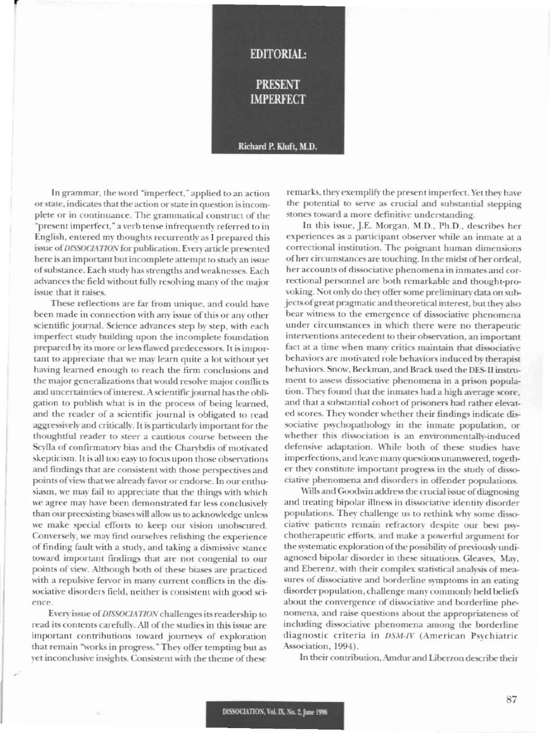

In grammar, the word "imperfect," applied to an action or state, indicates that the action or state in question is incomplete or in continuance. The grammatical construct of the "present imperfect," a verb tense infrequently referred to in English, entered my thoughts recurrently as I prepared this issue of DISSOCIATION for publication. Every article presented here is an important but incomplete attempt to study an issue of substance. Each study has strengths and weaknesses. Each advances the field without fully resolving many of the major issue that it raises.

These reflections are far from unique, and could have been made in connection with any issue of this or any other scientific journal. Science advances step by step, with each imperfect study building upon the incomplete foundation prepared by its more or less flawed predecessors. It is important to appreciate that we may learn quite a lot without vet having learned enough to reach the firm conclusions and the major generalizations that would resolve major conflicts and uncertainties of interest. A scientific journal has the obligation to publish what is in the process of being learned, and the reader of a scientific journal is obligated to read aggressively and critically. It is particularly important for the thoughtful reader to steer a cautious course between the Scylla of confirmatory bias and the Charybdis of motivated skepticism. It is all too easy to focus upon those observations and findings that are consistent with those perspectives and points of view that we already favor or endorse. In our enthusiasm, we may fail to appreciate that the things with which we agree may have been demonstrated far less conclusively than our preexisting biases will allow us to acknowledge unless we make special efforts to keep our vision unobscured. Conversely, we may find ourselves relishing the experience of finding fault with a study, and taking a dismissive stance toward important findings that are not congenial to our points of view. Although both of these biases are practiced with a repulsive fervor in many current conflicts in the dissociative disorders field, neither is consistent with good science.

Every issue of DISSOCIATION challenges its readership to read its contents carefully. All of the studies in this issue are important contributions toward journeys of exploration that remain "works in progress." They offer tempting but as yet inconclusive insights. Consistent with the theme of these

remarks, they exemplify the present imperfect. Yet they have the potential to serve as crucial and substantial stepping stones toward a more definitive understanding.

In this issue, J.E. Morgan, M.D., Ph.D., describes her experiences as a participant observer while an inmate at a correctional institution. The poignant human dimensions of her circumstances are touching. In the midst of her ordeal, her accounts of dissociative phenomena in inmates and correctional personnel are both remarkable and thought-provoking. Not only do they offer some preliminary data on subjects of great pragmatic and theoretical interest, but they also bear witness to the emergence of dissociative phenomena under circumstances in which there were no therapeutic interventions antecedent to their observation, an important fact at a time when many critics maintain that dissociative behaviors are motivated role behaviors induced by therapist behaviors. Snow, Beckman, and Brack used the DES-II instrument to assess dissociative phenomena in a prison population. They found that the inmates had a high average score, and that a substantial cohort of prisoners had rather elevated scores. They wonder whether their findings indicate dissociative psychopathology in the inmate population, or whether this dissociation is an environmentally-induced defensive adaptation. While both of these studies have imperfections, and leave many questions unanswered, together they constitute important progress in the study of dissociative phenomena and disorders in offender populations.

Wills and Goodwin address the crucial issue of diagnosing and treating bipolar illness in dissociative identity disorder populations. They challenge us to rethink why some dissociative patients remain refractory despite our best psychotherapeutic efforts, and make a powerful argument for the systematic exploration of the possibility of previously undiagnosed bipolar disorder in these situations. Gleaves, May, and Eberenz, with their complex statistical analysis of measures of dissociative and borderline symptoms in an eating disorder population, challenge many commonly held beliefs about the convergence of dissociative and borderline phenomena, and raise questions about the appropriateness of including dissociative phenomena among the borderline diagnostic criteria in DSM-IV (American Psychiatric Association, 1994).

In their contribution, Amdur and Liberzon describe their